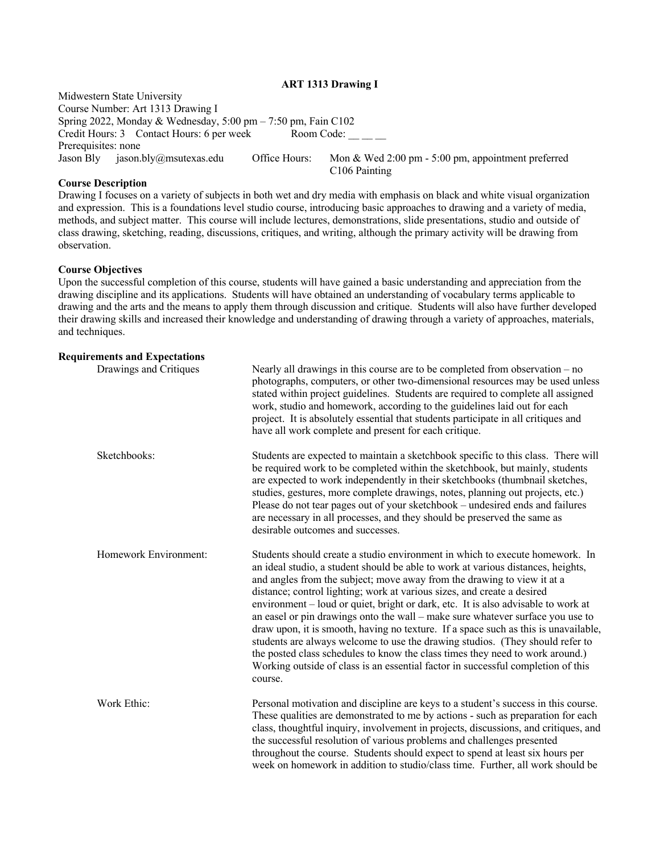#### **ART 1313 Drawing I**

Midwestern State University Course Number: Art 1313 Drawing I Spring 2022, Monday & Wednesday, 5:00 pm – 7:50 pm, Fain C102<br>Credit Hours: 3 Contact Hours: 6 per week Room Code: \_\_\_\_\_ Credit Hours: 3 Contact Hours: 6 per week Prerequisites: none Jason Bly jason.bly@msutexas.edu Office Hours: Mon & Wed 2:00 pm - 5:00 pm, appointment preferred C106 Painting

#### **Course Description**

Drawing I focuses on a variety of subjects in both wet and dry media with emphasis on black and white visual organization and expression. This is a foundations level studio course, introducing basic approaches to drawing and a variety of media, methods, and subject matter. This course will include lectures, demonstrations, slide presentations, studio and outside of class drawing, sketching, reading, discussions, critiques, and writing, although the primary activity will be drawing from observation.

#### **Course Objectives**

Upon the successful completion of this course, students will have gained a basic understanding and appreciation from the drawing discipline and its applications. Students will have obtained an understanding of vocabulary terms applicable to drawing and the arts and the means to apply them through discussion and critique. Students will also have further developed their drawing skills and increased their knowledge and understanding of drawing through a variety of approaches, materials, and techniques.

#### **Requirements and Expectations**

| Drawings and Critiques | Nearly all drawings in this course are to be completed from observation $-$ no<br>photographs, computers, or other two-dimensional resources may be used unless<br>stated within project guidelines. Students are required to complete all assigned<br>work, studio and homework, according to the guidelines laid out for each<br>project. It is absolutely essential that students participate in all critiques and<br>have all work complete and present for each critique.                                                                                                                                                                                                                                                                                                                                                                        |
|------------------------|-------------------------------------------------------------------------------------------------------------------------------------------------------------------------------------------------------------------------------------------------------------------------------------------------------------------------------------------------------------------------------------------------------------------------------------------------------------------------------------------------------------------------------------------------------------------------------------------------------------------------------------------------------------------------------------------------------------------------------------------------------------------------------------------------------------------------------------------------------|
| Sketchbooks:           | Students are expected to maintain a sketchbook specific to this class. There will<br>be required work to be completed within the sketchbook, but mainly, students<br>are expected to work independently in their sketchbooks (thumbnail sketches,<br>studies, gestures, more complete drawings, notes, planning out projects, etc.)<br>Please do not tear pages out of your sketchbook – undesired ends and failures<br>are necessary in all processes, and they should be preserved the same as<br>desirable outcomes and successes.                                                                                                                                                                                                                                                                                                                 |
| Homework Environment:  | Students should create a studio environment in which to execute homework. In<br>an ideal studio, a student should be able to work at various distances, heights,<br>and angles from the subject; move away from the drawing to view it at a<br>distance; control lighting; work at various sizes, and create a desired<br>environment – loud or quiet, bright or dark, etc. It is also advisable to work at<br>an easel or pin drawings onto the wall – make sure whatever surface you use to<br>draw upon, it is smooth, having no texture. If a space such as this is unavailable,<br>students are always welcome to use the drawing studios. (They should refer to<br>the posted class schedules to know the class times they need to work around.)<br>Working outside of class is an essential factor in successful completion of this<br>course. |
| Work Ethic:            | Personal motivation and discipline are keys to a student's success in this course.<br>These qualities are demonstrated to me by actions - such as preparation for each<br>class, thoughtful inquiry, involvement in projects, discussions, and critiques, and<br>the successful resolution of various problems and challenges presented<br>throughout the course. Students should expect to spend at least six hours per<br>week on homework in addition to studio/class time. Further, all work should be                                                                                                                                                                                                                                                                                                                                            |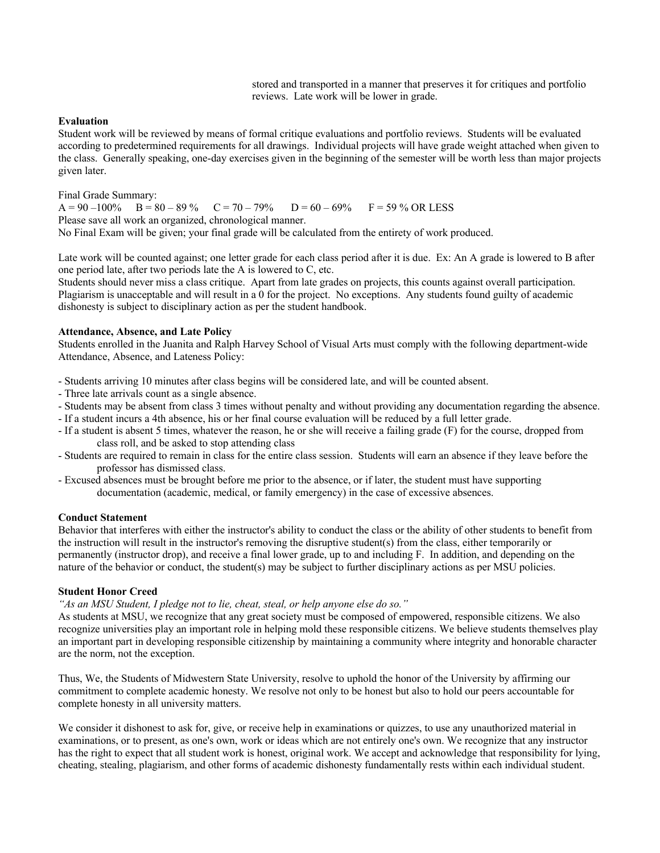stored and transported in a manner that preserves it for critiques and portfolio reviews. Late work will be lower in grade.

#### **Evaluation**

Student work will be reviewed by means of formal critique evaluations and portfolio reviews. Students will be evaluated according to predetermined requirements for all drawings. Individual projects will have grade weight attached when given to the class. Generally speaking, one-day exercises given in the beginning of the semester will be worth less than major projects given later.

Final Grade Summary:

 $A = 90 - 100\%$  B = 80 – 89 % C = 70 – 79% D = 60 – 69% F = 59 % OR LESS Please save all work an organized, chronological manner. No Final Exam will be given; your final grade will be calculated from the entirety of work produced.

Late work will be counted against; one letter grade for each class period after it is due. Ex: An A grade is lowered to B after one period late, after two periods late the A is lowered to C, etc.

Students should never miss a class critique. Apart from late grades on projects, this counts against overall participation. Plagiarism is unacceptable and will result in a 0 for the project. No exceptions. Any students found guilty of academic dishonesty is subject to disciplinary action as per the student handbook.

#### **Attendance, Absence, and Late Policy**

Students enrolled in the Juanita and Ralph Harvey School of Visual Arts must comply with the following department-wide Attendance, Absence, and Lateness Policy:

- Students arriving 10 minutes after class begins will be considered late, and will be counted absent.

- Three late arrivals count as a single absence.
- Students may be absent from class 3 times without penalty and without providing any documentation regarding the absence.
- If a student incurs a 4th absence, his or her final course evaluation will be reduced by a full letter grade.
- If a student is absent 5 times, whatever the reason, he or she will receive a failing grade (F) for the course, dropped from class roll, and be asked to stop attending class
- Students are required to remain in class for the entire class session. Students will earn an absence if they leave before the professor has dismissed class.
- Excused absences must be brought before me prior to the absence, or if later, the student must have supporting documentation (academic, medical, or family emergency) in the case of excessive absences.

#### **Conduct Statement**

Behavior that interferes with either the instructor's ability to conduct the class or the ability of other students to benefit from the instruction will result in the instructor's removing the disruptive student(s) from the class, either temporarily or permanently (instructor drop), and receive a final lower grade, up to and including F. In addition, and depending on the nature of the behavior or conduct, the student(s) may be subject to further disciplinary actions as per MSU policies.

### **Student Honor Creed**

# *"As an MSU Student, I pledge not to lie, cheat, steal, or help anyone else do so."*

As students at MSU, we recognize that any great society must be composed of empowered, responsible citizens. We also recognize universities play an important role in helping mold these responsible citizens. We believe students themselves play an important part in developing responsible citizenship by maintaining a community where integrity and honorable character are the norm, not the exception.

Thus, We, the Students of Midwestern State University, resolve to uphold the honor of the University by affirming our commitment to complete academic honesty. We resolve not only to be honest but also to hold our peers accountable for complete honesty in all university matters.

We consider it dishonest to ask for, give, or receive help in examinations or quizzes, to use any unauthorized material in examinations, or to present, as one's own, work or ideas which are not entirely one's own. We recognize that any instructor has the right to expect that all student work is honest, original work. We accept and acknowledge that responsibility for lying, cheating, stealing, plagiarism, and other forms of academic dishonesty fundamentally rests within each individual student.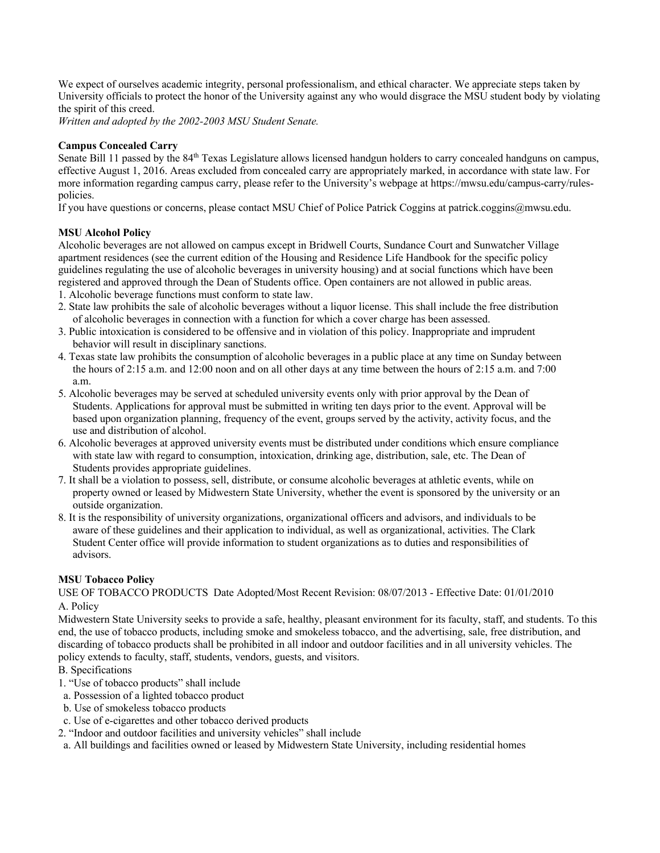We expect of ourselves academic integrity, personal professionalism, and ethical character. We appreciate steps taken by University officials to protect the honor of the University against any who would disgrace the MSU student body by violating the spirit of this creed.

*Written and adopted by the 2002-2003 MSU Student Senate.*

### **Campus Concealed Carry**

Senate Bill 11 passed by the 84<sup>th</sup> Texas Legislature allows licensed handgun holders to carry concealed handguns on campus, effective August 1, 2016. Areas excluded from concealed carry are appropriately marked, in accordance with state law. For more information regarding campus carry, please refer to the University's webpage at https://mwsu.edu/campus-carry/rulespolicies.

If you have questions or concerns, please contact MSU Chief of Police Patrick Coggins at patrick.coggins@mwsu.edu.

### **MSU Alcohol Policy**

Alcoholic beverages are not allowed on campus except in Bridwell Courts, Sundance Court and Sunwatcher Village apartment residences (see the current edition of the Housing and Residence Life Handbook for the specific policy guidelines regulating the use of alcoholic beverages in university housing) and at social functions which have been registered and approved through the Dean of Students office. Open containers are not allowed in public areas.

1. Alcoholic beverage functions must conform to state law.

- 2. State law prohibits the sale of alcoholic beverages without a liquor license. This shall include the free distribution of alcoholic beverages in connection with a function for which a cover charge has been assessed.
- 3. Public intoxication is considered to be offensive and in violation of this policy. Inappropriate and imprudent behavior will result in disciplinary sanctions.
- 4. Texas state law prohibits the consumption of alcoholic beverages in a public place at any time on Sunday between the hours of 2:15 a.m. and 12:00 noon and on all other days at any time between the hours of 2:15 a.m. and 7:00 a.m.
- 5. Alcoholic beverages may be served at scheduled university events only with prior approval by the Dean of Students. Applications for approval must be submitted in writing ten days prior to the event. Approval will be based upon organization planning, frequency of the event, groups served by the activity, activity focus, and the use and distribution of alcohol.
- 6. Alcoholic beverages at approved university events must be distributed under conditions which ensure compliance with state law with regard to consumption, intoxication, drinking age, distribution, sale, etc. The Dean of Students provides appropriate guidelines.
- 7. It shall be a violation to possess, sell, distribute, or consume alcoholic beverages at athletic events, while on property owned or leased by Midwestern State University, whether the event is sponsored by the university or an outside organization.
- 8. It is the responsibility of university organizations, organizational officers and advisors, and individuals to be aware of these guidelines and their application to individual, as well as organizational, activities. The Clark Student Center office will provide information to student organizations as to duties and responsibilities of advisors.

### **MSU Tobacco Policy**

USE OF TOBACCO PRODUCTS Date Adopted/Most Recent Revision: 08/07/2013 - Effective Date: 01/01/2010 A. Policy

Midwestern State University seeks to provide a safe, healthy, pleasant environment for its faculty, staff, and students. To this end, the use of tobacco products, including smoke and smokeless tobacco, and the advertising, sale, free distribution, and discarding of tobacco products shall be prohibited in all indoor and outdoor facilities and in all university vehicles. The policy extends to faculty, staff, students, vendors, guests, and visitors.

# B. Specifications

- 1. "Use of tobacco products" shall include
- a. Possession of a lighted tobacco product
- b. Use of smokeless tobacco products
- c. Use of e-cigarettes and other tobacco derived products
- 2. "Indoor and outdoor facilities and university vehicles" shall include

a. All buildings and facilities owned or leased by Midwestern State University, including residential homes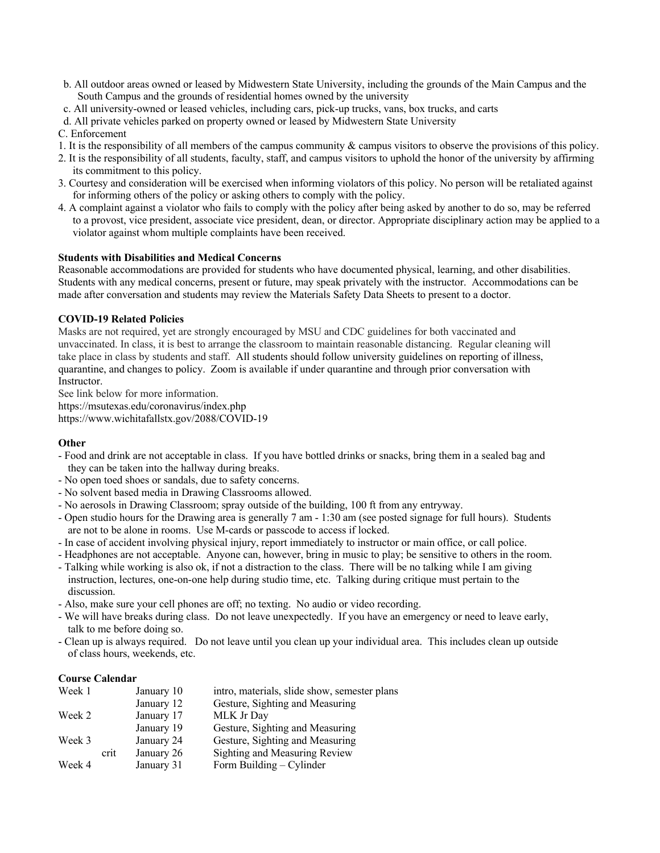- b. All outdoor areas owned or leased by Midwestern State University, including the grounds of the Main Campus and the South Campus and the grounds of residential homes owned by the university
- c. All university-owned or leased vehicles, including cars, pick-up trucks, vans, box trucks, and carts
- d. All private vehicles parked on property owned or leased by Midwestern State University
- C. Enforcement
- 1. It is the responsibility of all members of the campus community & campus visitors to observe the provisions of this policy.
- 2. It is the responsibility of all students, faculty, staff, and campus visitors to uphold the honor of the university by affirming its commitment to this policy.
- 3. Courtesy and consideration will be exercised when informing violators of this policy. No person will be retaliated against for informing others of the policy or asking others to comply with the policy.
- 4. A complaint against a violator who fails to comply with the policy after being asked by another to do so, may be referred to a provost, vice president, associate vice president, dean, or director. Appropriate disciplinary action may be applied to a violator against whom multiple complaints have been received.

### **Students with Disabilities and Medical Concerns**

Reasonable accommodations are provided for students who have documented physical, learning, and other disabilities. Students with any medical concerns, present or future, may speak privately with the instructor. Accommodations can be made after conversation and students may review the Materials Safety Data Sheets to present to a doctor.

# **COVID-19 Related Policies**

Masks are not required, yet are strongly encouraged by MSU and CDC guidelines for both vaccinated and unvaccinated. In class, it is best to arrange the classroom to maintain reasonable distancing. Regular cleaning will take place in class by students and staff. All students should follow university guidelines on reporting of illness, quarantine, and changes to policy. Zoom is available if under quarantine and through prior conversation with Instructor.

See link below for more information.

https://msutexas.edu/coronavirus/index.php https://www.wichitafallstx.gov/2088/COVID-19

### **Other**

- Food and drink are not acceptable in class. If you have bottled drinks or snacks, bring them in a sealed bag and they can be taken into the hallway during breaks.
- No open toed shoes or sandals, due to safety concerns.
- No solvent based media in Drawing Classrooms allowed.
- No aerosols in Drawing Classroom; spray outside of the building, 100 ft from any entryway.
- Open studio hours for the Drawing area is generally 7 am 1:30 am (see posted signage for full hours). Students are not to be alone in rooms. Use M-cards or passcode to access if locked.
- In case of accident involving physical injury, report immediately to instructor or main office, or call police.
- Headphones are not acceptable. Anyone can, however, bring in music to play; be sensitive to others in the room.
- Talking while working is also ok, if not a distraction to the class. There will be no talking while I am giving instruction, lectures, one-on-one help during studio time, etc. Talking during critique must pertain to the discussion.
- Also, make sure your cell phones are off; no texting. No audio or video recording.
- We will have breaks during class. Do not leave unexpectedly. If you have an emergency or need to leave early, talk to me before doing so.
- Clean up is always required. Do not leave until you clean up your individual area. This includes clean up outside of class hours, weekends, etc.

### **Course Calendar**

| Week 1 |      | January 10 | intro, materials, slide show, semester plans |
|--------|------|------------|----------------------------------------------|
|        |      | January 12 | Gesture, Sighting and Measuring              |
| Week 2 |      | January 17 | MLK Jr Day                                   |
|        |      | January 19 | Gesture, Sighting and Measuring              |
| Week 3 |      | January 24 | Gesture, Sighting and Measuring              |
|        | crit | January 26 | Sighting and Measuring Review                |
| Week 4 |      | January 31 | Form Building $-$ Cylinder                   |